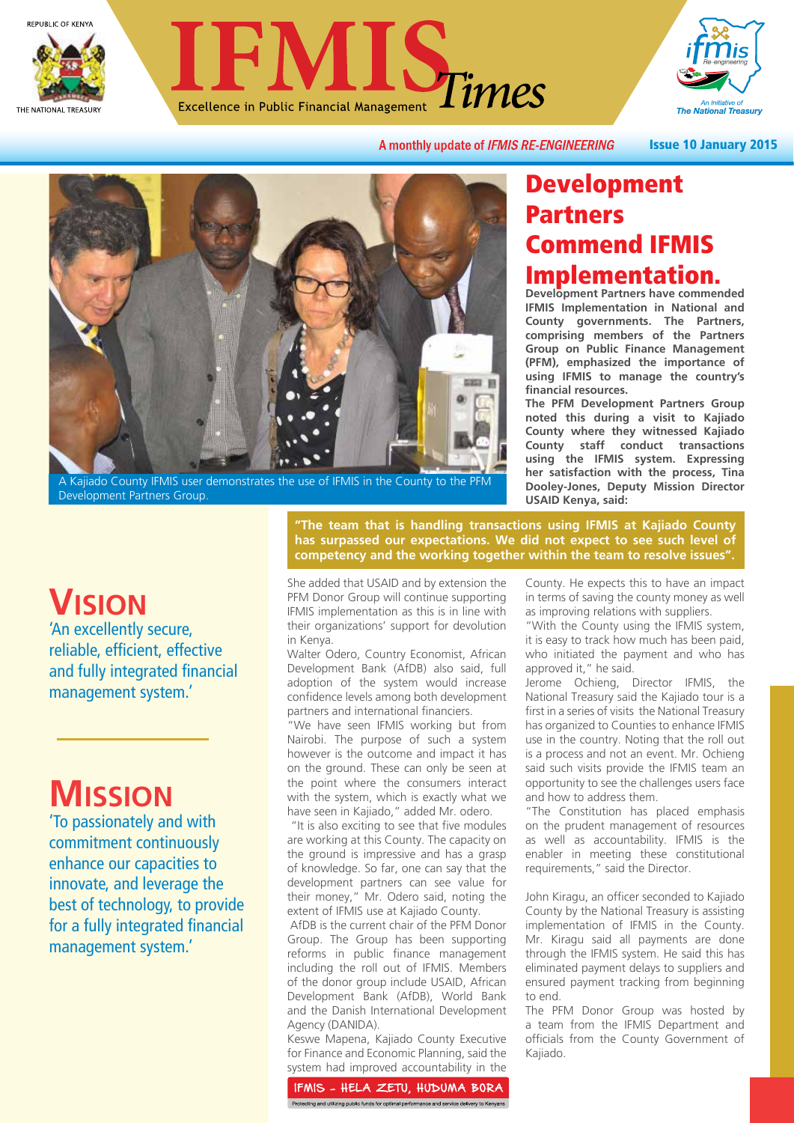





A monthly update of IFMIS RE-ENGINEERING

Issue 10 January 2015



A Kajiado County IFMIS user demonstrates the use of IFMIS in the County to the PFM Development Partners Group.

### Development Partners Commend IFMIS Implementation.

**Development Partners have commended IFMIS Implementation in National and County governments. The Partners, comprising members of the Partners Group on Public Finance Management (PFM), emphasized the importance of using IFMIS to manage the country's financial resources.**

**The PFM Development Partners Group noted this during a visit to Kajiado County where they witnessed Kajiado County staff conduct transactions using the IFMIS system. Expressing her satisfaction with the process, Tina Dooley-Jones, Deputy Mission Director USAID Kenya, said:**

## **VISION**

'An excellently secure, reliable, efficient, effective and fully integrated financial management system.'

# **MISSION**

'To passionately and with commitment continuously enhance our capacities to innovate, and leverage the best of technology, to provide for a fully integrated financial management system.'

**"The team that is handling transactions using IFMIS at Kajiado County has surpassed our expectations. We did not expect to see such level of competency and the working together within the team to resolve issues".**

She added that USAID and by extension the PFM Donor Group will continue supporting IFMIS implementation as this is in line with their organizations' support for devolution in Kenya.

Walter Odero, Country Economist, African Development Bank (AfDB) also said, full adoption of the system would increase confidence levels among both development partners and international financiers.

"We have seen IFMIS working but from Nairobi. The purpose of such a system however is the outcome and impact it has on the ground. These can only be seen at the point where the consumers interact with the system, which is exactly what we have seen in Kajiado," added Mr. odero.

 "It is also exciting to see that five modules are working at this County. The capacity on the ground is impressive and has a grasp of knowledge. So far, one can say that the development partners can see value for their money," Mr. Odero said, noting the extent of IFMIS use at Kajiado County.

 AfDB is the current chair of the PFM Donor Group. The Group has been supporting reforms in public finance management including the roll out of IFMIS. Members of the donor group include USAID, African Development Bank (AfDB), World Bank and the Danish International Development Agency (DANIDA).

Keswe Mapena, Kajiado County Executive for Finance and Economic Planning, said the system had improved accountability in the

IFMIS - HELA ZETU, HUDUMA BORA Protecting and utilizing public funds for optimal performance and service delivery to Kenyans

County. He expects this to have an impact in terms of saving the county money as well as improving relations with suppliers.

"With the County using the IFMIS system, it is easy to track how much has been paid, who initiated the payment and who has approved it," he said.

Jerome Ochieng, Director IFMIS, the National Treasury said the Kajiado tour is a first in a series of visits the National Treasury has organized to Counties to enhance IFMIS use in the country. Noting that the roll out is a process and not an event. Mr. Ochieng said such visits provide the IFMIS team an opportunity to see the challenges users face and how to address them.

"The Constitution has placed emphasis on the prudent management of resources as well as accountability. IFMIS is the enabler in meeting these constitutional requirements," said the Director.

John Kiragu, an officer seconded to Kajiado County by the National Treasury is assisting implementation of IFMIS in the County. Mr. Kiragu said all payments are done through the IFMIS system. He said this has eliminated payment delays to suppliers and ensured payment tracking from beginning to end.

The PFM Donor Group was hosted by a team from the IFMIS Department and officials from the County Government of Kajiado.